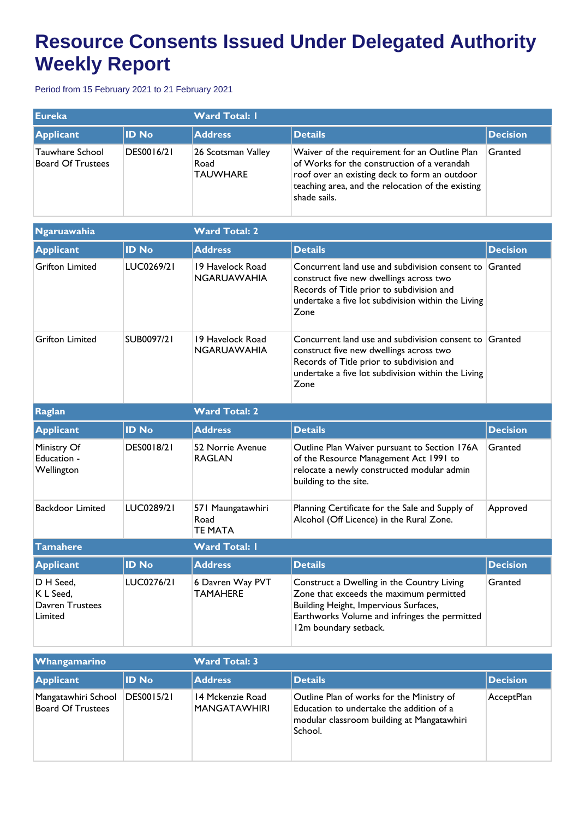## **Resource Consents Issued Under Delegated Authority Weekly Report**

Period from 15 February 2021 to 21 February 2021

| <b>Eureka</b>                        |              | <b>Ward Total: I</b>                          |                                                                                                                                                                                                                    |                 |  |
|--------------------------------------|--------------|-----------------------------------------------|--------------------------------------------------------------------------------------------------------------------------------------------------------------------------------------------------------------------|-----------------|--|
| <b>Applicant</b>                     | <b>ID No</b> | <b>Address</b>                                | Details                                                                                                                                                                                                            | <b>Decision</b> |  |
| Tauwhare School<br>Board Of Trustees | DES0016/21   | 26 Scotsman Valley<br>Road<br><b>TAUWHARE</b> | Waiver of the requirement for an Outline Plan<br>of Works for the construction of a verandah<br>roof over an existing deck to form an outdoor<br>teaching area, and the relocation of the existing<br>shade sails. | Granted         |  |

| Ngaruawahia                                          |              | <b>Ward Total: 2</b>                        |                                                                                                                                                                                                              |                 |  |
|------------------------------------------------------|--------------|---------------------------------------------|--------------------------------------------------------------------------------------------------------------------------------------------------------------------------------------------------------------|-----------------|--|
| <b>Applicant</b>                                     | <b>ID No</b> | <b>Address</b>                              | <b>Details</b>                                                                                                                                                                                               | <b>Decision</b> |  |
| <b>Grifton Limited</b>                               | LUC0269/21   | 19 Havelock Road<br><b>NGARUAWAHIA</b>      | Concurrent land use and subdivision consent to Granted<br>construct five new dwellings across two<br>Records of Title prior to subdivision and<br>undertake a five lot subdivision within the Living<br>Zone |                 |  |
| <b>Grifton Limited</b>                               | SUB0097/21   | 19 Havelock Road<br><b>NGARUAWAHIA</b>      | Concurrent land use and subdivision consent to Granted<br>construct five new dwellings across two<br>Records of Title prior to subdivision and<br>undertake a five lot subdivision within the Living<br>Zone |                 |  |
| Raglan                                               |              | <b>Ward Total: 2</b>                        |                                                                                                                                                                                                              |                 |  |
| <b>Applicant</b>                                     | <b>ID No</b> | <b>Address</b>                              | <b>Details</b>                                                                                                                                                                                               | <b>Decision</b> |  |
| Ministry Of<br>Education -<br>Wellington             | DES0018/21   | 52 Norrie Avenue<br><b>RAGLAN</b>           | Outline Plan Waiver pursuant to Section 176A<br>of the Resource Management Act 1991 to<br>relocate a newly constructed modular admin<br>building to the site.                                                | Granted         |  |
| <b>Backdoor Limited</b>                              | LUC0289/21   | 571 Maungatawhiri<br>Road<br><b>TE MATA</b> | Planning Certificate for the Sale and Supply of<br>Alcohol (Off Licence) in the Rural Zone.                                                                                                                  | Approved        |  |
| <b>Tamahere</b>                                      |              | <b>Ward Total: I</b>                        |                                                                                                                                                                                                              |                 |  |
| <b>Applicant</b>                                     | <b>ID No</b> | <b>Address</b>                              | <b>Details</b>                                                                                                                                                                                               | <b>Decision</b> |  |
| D H Seed,<br>K L Seed,<br>Davren Trustees<br>Limited | LUC0276/21   | 6 Davren Way PVT<br><b>TAMAHERE</b>         | Construct a Dwelling in the Country Living<br>Zone that exceeds the maximum permitted<br>Building Height, Impervious Surfaces,<br>Earthworks Volume and infringes the permitted<br>12m boundary setback.     | Granted         |  |

| <b>Whangamarino</b>                             |              | <b>Ward Total: 3</b>             |                                                                                                                                                |                 |  |
|-------------------------------------------------|--------------|----------------------------------|------------------------------------------------------------------------------------------------------------------------------------------------|-----------------|--|
| Applicant                                       | <b>ID No</b> | <b>Address</b>                   | <b>Details</b>                                                                                                                                 | <b>Decision</b> |  |
| Mangatawhiri School<br><b>Board Of Trustees</b> | DES0015/21   | 14 Mckenzie Road<br>MANGATAWHIRI | Outline Plan of works for the Ministry of<br>Education to undertake the addition of a<br>modular classroom building at Mangatawhiri<br>School. | AcceptPlan      |  |